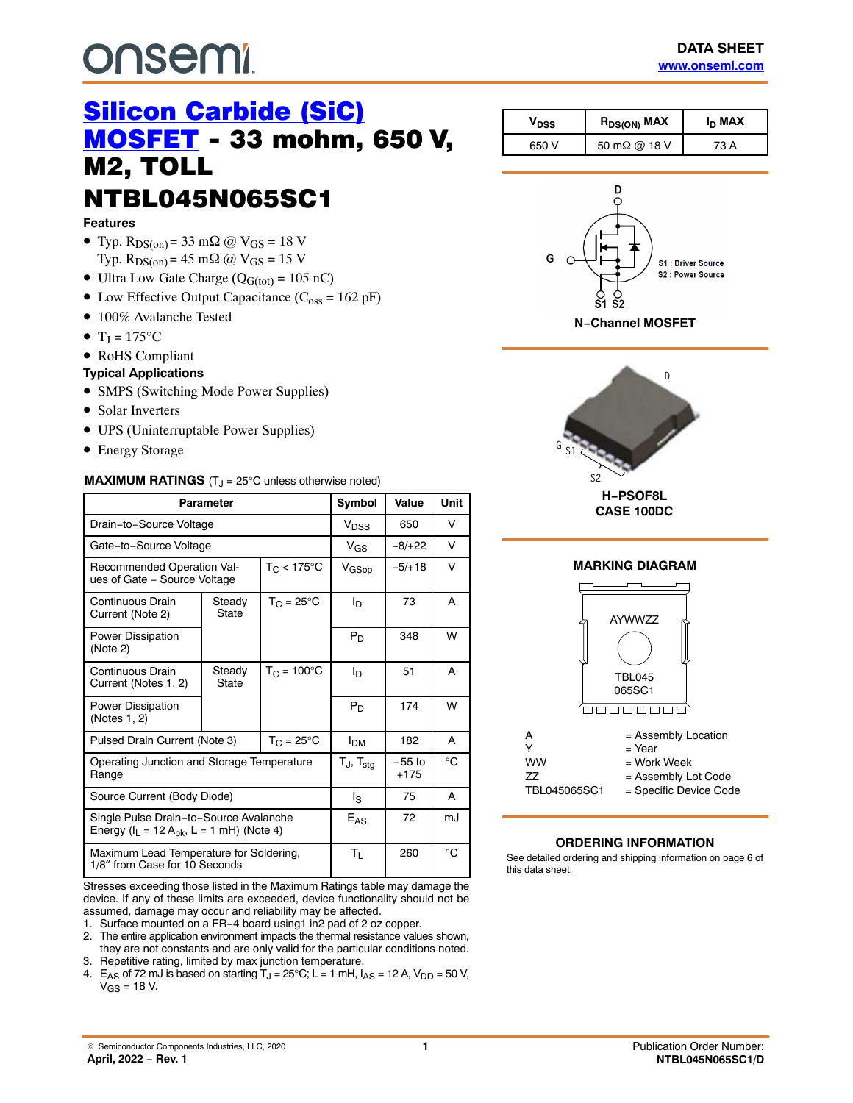# <span id="page-0-0"></span>**onsem!**

## [Silicon Carbide \(SiC\)](https://www.onsemi.com/products/discrete-power-modules/silicon-carbide-sic/silicon-carbide-sic-mosfets) **[MOSFET](https://www.onsemi.com/products/discrete-power-modules/silicon-carbide-sic/silicon-carbide-sic-mosfets) - 33 mohm, 650 V.** M2, TOLL NTBL045N065SC1

#### **Features**

- Typ.  $R_{DS(on)} = 33$  m $\Omega$  @  $V_{GS} = 18$  V Typ.  $R_{DS(on)}$  = 45 m $\Omega$  @  $V_{GS}$  = 15 V
- Ultra Low Gate Charge ( $Q_{G(tot)} = 105$  nC)
- Low Effective Output Capacitance ( $C_{\text{oss}} = 162 \text{ pF}$ )
- 100% Avalanche Tested
- $T_J = 175$ °C
- RoHS Compliant

#### **Typical Applications**

- SMPS (Switching Mode Power Supplies)
- Solar Inverters
- UPS (Uninterruptable Power Supplies)
- Energy Storage

#### **MAXIMUM RATINGS** (T<sub>J</sub> = 25°C unless otherwise noted)

| Parameter                                                                                          |                 |                        | Symbol                   | Value              | Unit         |
|----------------------------------------------------------------------------------------------------|-----------------|------------------------|--------------------------|--------------------|--------------|
| Drain-to-Source Voltage                                                                            |                 |                        | V <sub>DSS</sub>         | 650                | V            |
| Gate-to-Source Voltage                                                                             |                 |                        | $V_{GS}$                 | $-8/+22$           | V            |
| <b>Recommended Operation Val-</b><br>ues of Gate - Source Voltage                                  |                 | $T_C < 175$ °C         | V <sub>GSop</sub>        | $-5/+18$           | V            |
| Continuous Drain<br>Current (Note 2)                                                               | Steady<br>State | $T_C = 25^{\circ}C$    | In                       | 73                 | A            |
| Power Dissipation<br>(Note 2)                                                                      |                 |                        | $P_D$                    | 348                | W            |
| Continuous Drain<br>Current (Notes 1, 2)                                                           | Steady<br>State | $T_{C} = 100^{\circ}C$ | In                       | 51                 | A            |
| Power Dissipation<br>(Notes 1, 2)                                                                  |                 |                        | $P_D$                    | 174                | W            |
| Pulsed Drain Current (Note 3)<br>$T_{C} = 25^{\circ}C$                                             |                 |                        | <b>I<sub>DM</sub></b>    | 182                | A            |
| Operating Junction and Storage Temperature<br>Range                                                |                 |                        | $T_J$ , $T_{\text{stg}}$ | $-55$ to<br>$+175$ | °C           |
| Source Current (Body Diode)                                                                        |                 |                        | ءا                       | 75                 | A            |
| Single Pulse Drain-to-Source Avalanche<br>Energy ( $I_L$ = 12 A <sub>pk</sub> , L = 1 mH) (Note 4) |                 |                        | $E_{AS}$                 | 72                 | m.l          |
| Maximum Lead Temperature for Soldering,<br>1/8" from Case for 10 Seconds                           |                 |                        | Τı                       | 260                | $^{\circ}$ C |

Stresses exceeding those listed in the Maximum Ratings table may damage the device. If any of these limits are exceeded, device functionality should not be assumed, damage may occur and reliability may be affected.

1. Surface mounted on a FR−4 board using1 in2 pad of 2 oz copper.

- 2. The entire application environment impacts the thermal resistance values shown, they are not constants and are only valid for the particular conditions noted. 3. Repetitive rating, limited by max junction temperature.
- 4. E<sub>AS</sub> of 72 mJ is based on starting  $T_J = 25^{\circ}C$ ; L = 1 mH,  $I_{AS} = 12$  A,  $V_{DD} = 50$  V,  $V_{GS}$  = 18 V.

| Vnss  | $R_{DS(ON)}$ MAX     | I <sub>D</sub> MAX |  |
|-------|----------------------|--------------------|--|
| 650 V | 50 m $\Omega$ @ 18 V | 73 A               |  |







**MARKING DIAGRAM**



#### **ORDERING INFORMATION**

See detailed ordering and shipping information on page [6](#page-5-0) of this data sheet.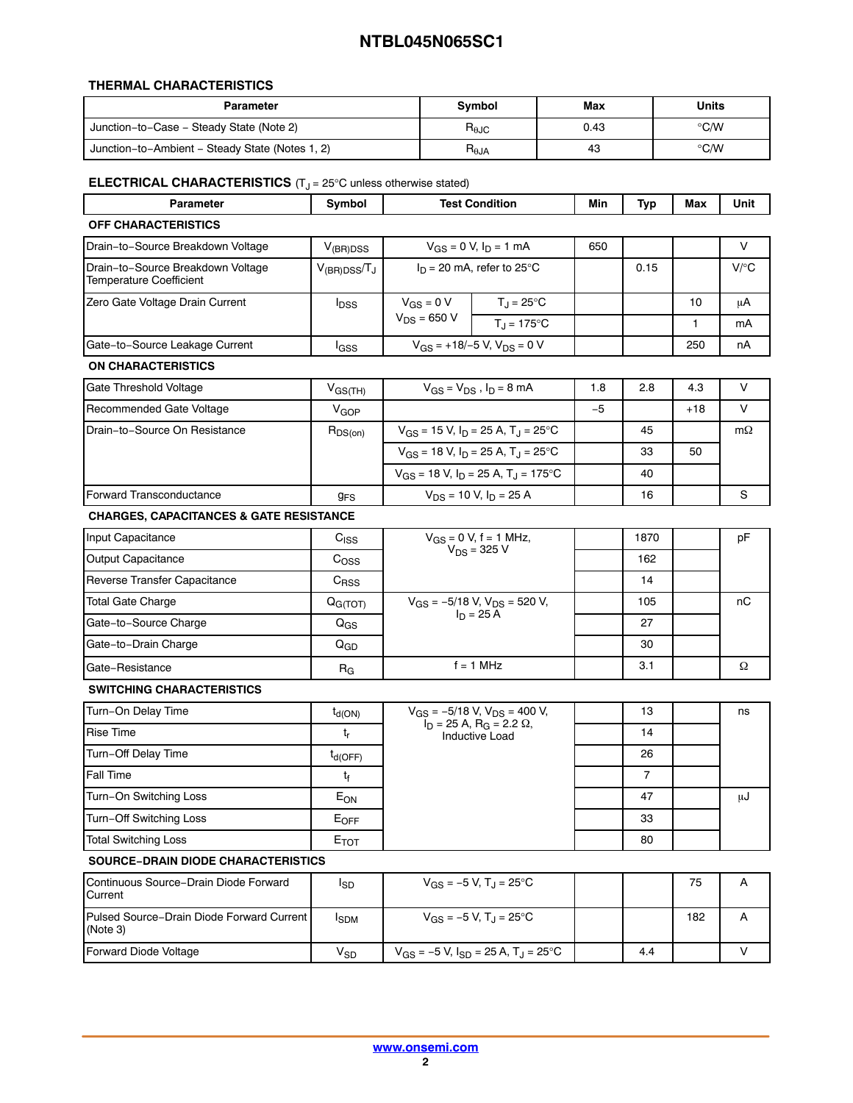#### **THERMAL CHARACTERISTICS**

| Parameter                                       | Symbol                                    | Max  | Units |
|-------------------------------------------------|-------------------------------------------|------|-------|
| Junction-to-Case - Steady State (Note 2)        | $\mathsf{R}_{\theta\mathsf{J}\mathsf{C}}$ | 0.43 | ℃⁄W   |
| Junction-to-Ambient - Steady State (Notes 1, 2) | $R_{\theta JA}$                           | 43   | ℃⁄W   |

#### **ELECTRICAL CHARACTERISTICS** (T<sub>J</sub> = 25°C unless otherwise stated)

| <b>Parameter</b>                                                    | Symbol                | <b>Test Condition</b>                                 |                                                                   | Min  | Typ            | Max          | Unit      |
|---------------------------------------------------------------------|-----------------------|-------------------------------------------------------|-------------------------------------------------------------------|------|----------------|--------------|-----------|
| <b>OFF CHARACTERISTICS</b>                                          |                       |                                                       |                                                                   |      |                |              |           |
| Drain-to-Source Breakdown Voltage                                   | $V_{(BR)DSS}$         | $V_{GS} = 0 V, I_D = 1 mA$                            |                                                                   | 650  |                |              | V         |
| Drain-to-Source Breakdown Voltage<br><b>Temperature Coefficient</b> | $V_{(BR)DSS}/T_J$     |                                                       | $I_D$ = 20 mA, refer to 25°C                                      |      | 0.15           |              | $V$ /°C   |
| Zero Gate Voltage Drain Current                                     | $I_{\rm DSS}$         | $V_{GS} = 0 V$                                        | $T_J = 25$ °C                                                     |      |                | 10           | μA        |
|                                                                     |                       | $V_{DS} = 650 V$                                      | $T_{\text{J}} = 175^{\circ}C$                                     |      |                | $\mathbf{1}$ | mA        |
| Gate-to-Source Leakage Current                                      | lgss                  |                                                       | $V_{GS}$ = +18/-5 V, $V_{DS}$ = 0 V                               |      |                | 250          | nA        |
| <b>ON CHARACTERISTICS</b>                                           |                       |                                                       |                                                                   |      |                |              |           |
| Gate Threshold Voltage                                              | $V_{GS(TH)}$          |                                                       | $V_{GS} = V_{DS}$ , $I_D = 8$ mA                                  | 1.8  | 2.8            | 4.3          | $\vee$    |
| Recommended Gate Voltage                                            | $V_{GOP}$             |                                                       |                                                                   | $-5$ |                | $+18$        | $\vee$    |
| Drain-to-Source On Resistance                                       | $R_{DS(on)}$          |                                                       | $V_{GS}$ = 15 V, $I_D$ = 25 A, T <sub>J</sub> = 25°C              |      | 45             |              | $m\Omega$ |
|                                                                     |                       |                                                       | $V_{GS}$ = 18 V, $I_D$ = 25 A, T <sub>J</sub> = 25 <sup>°</sup> C |      | 33             | 50           |           |
|                                                                     |                       |                                                       | $V_{GS}$ = 18 V, $I_D$ = 25 A, T <sub>J</sub> = 175°C             |      | 40             |              |           |
| Forward Transconductance                                            | <b>g<sub>FS</sub></b> |                                                       | $V_{DS}$ = 10 V, $I_D$ = 25 A                                     |      | 16             |              | S         |
| <b>CHARGES, CAPACITANCES &amp; GATE RESISTANCE</b>                  |                       |                                                       |                                                                   |      |                |              |           |
| Input Capacitance                                                   | C <sub>ISS</sub>      | $V_{GS} = 0 V, f = 1 MHz,$                            |                                                                   |      | 1870           |              | pF        |
| Output Capacitance                                                  | C <sub>OSS</sub>      |                                                       | $V_{DS}$ = 325 V                                                  |      | 162            |              |           |
| Reverse Transfer Capacitance                                        | $C_{\rm RSS}$         |                                                       |                                                                   |      | 14             |              |           |
| <b>Total Gate Charge</b>                                            | Q <sub>G(TOT)</sub>   | $V_{GS} = -5/18$ V, $V_{DS} = 520$ V,<br>$I_D = 25$ A |                                                                   |      | 105            |              | nC        |
| Gate-to-Source Charge                                               | $Q_{GS}$              |                                                       |                                                                   |      | 27             |              |           |
| Gate-to-Drain Charge                                                | $Q_{GD}$              |                                                       |                                                                   |      | 30             |              |           |
| Gate-Resistance                                                     | $R_G$                 |                                                       | $f = 1$ MHz                                                       |      | 3.1            |              | Ω         |
| <b>SWITCHING CHARACTERISTICS</b>                                    |                       |                                                       |                                                                   |      |                |              |           |
| Turn-On Delay Time                                                  | $t_{d(ON)}$           |                                                       | $V_{GS} = -5/18$ V, $V_{DS} = 400$ V,                             |      | 13             |              | ns        |
| <b>Rise Time</b>                                                    | t,                    |                                                       | $I_D$ = 25 A, R <sub>G</sub> = 2.2 $\Omega$ ,<br>Inductive Load   |      | 14             |              |           |
| Turn-Off Delay Time                                                 | $t_{d(OFF)}$          |                                                       |                                                                   |      | 26             |              |           |
| Fall Time                                                           | t <sub>f</sub>        |                                                       |                                                                   |      | $\overline{7}$ |              |           |
| Turn-On Switching Loss                                              | $E_{ON}$              |                                                       |                                                                   |      | 47             |              | μJ        |
| Turn-Off Switching Loss                                             | E <sub>OFF</sub>      |                                                       |                                                                   |      | 33             |              |           |
| <b>Total Switching Loss</b>                                         | $E_{TOT}$             |                                                       |                                                                   |      | 80             |              |           |
| SOURCE-DRAIN DIODE CHARACTERISTICS                                  |                       |                                                       |                                                                   |      |                |              |           |
|                                                                     |                       |                                                       |                                                                   |      |                |              |           |

| Continuous Source-Drain Diode Forward<br>Current        | Isn             | $V_{GS} = -5 V$ , T <sub>J</sub> = 25°C                              |     | 75  |  |
|---------------------------------------------------------|-----------------|----------------------------------------------------------------------|-----|-----|--|
| Pulsed Source-Drain Diode Forward Current I<br>(Note 3) | <b>I</b> SDM    | $V_{GS} = -5 V$ , T <sub>J</sub> = 25°C                              |     | 182 |  |
| Forward Diode Voltage                                   | V <sub>SD</sub> | $V_{GS}$ = -5 V, $I_{SD}$ = 25 A, T <sub>J</sub> = 25 <sup>o</sup> C | 4.4 |     |  |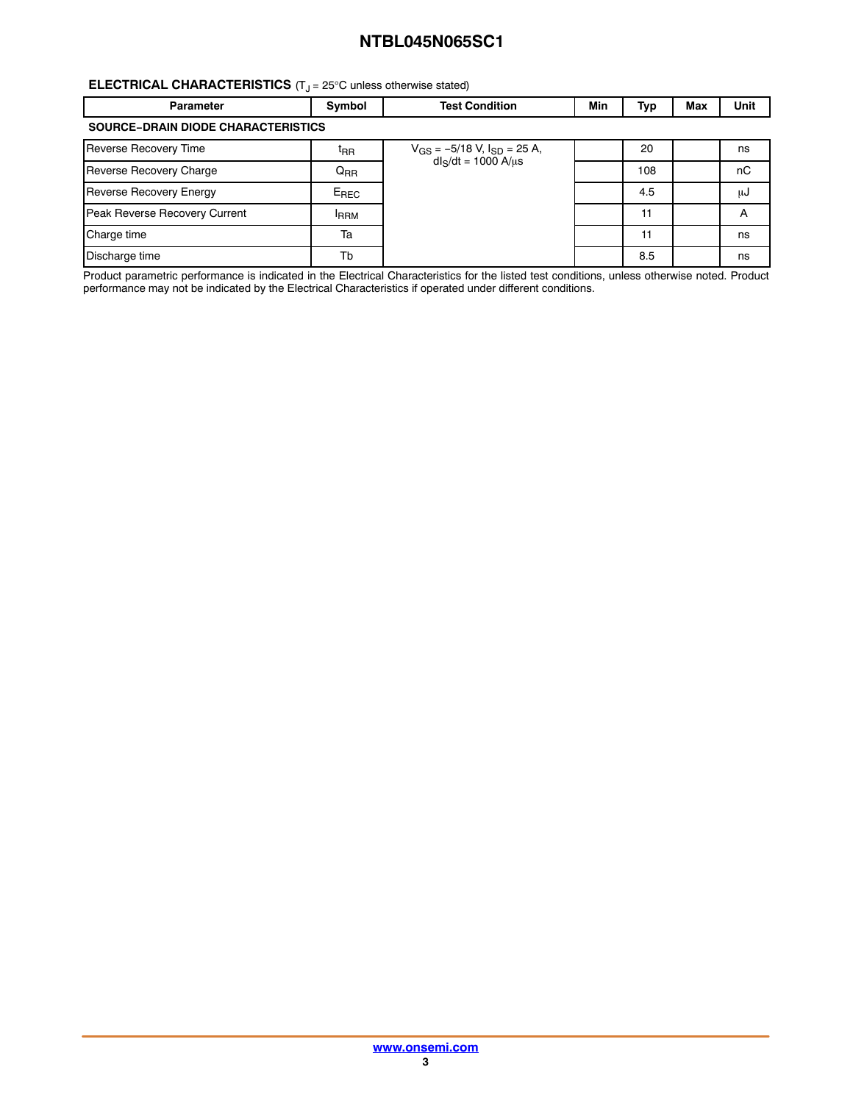#### **ELECTRICAL CHARACTERISTICS** (T<sub>J</sub> = 25°C unless otherwise stated)

| <b>Parameter</b>                          | Symbol           | <b>Test Condition</b>                                         | Min | Тур | Max | Unit |  |  |
|-------------------------------------------|------------------|---------------------------------------------------------------|-----|-----|-----|------|--|--|
| <b>SOURCE-DRAIN DIODE CHARACTERISTICS</b> |                  |                                                               |     |     |     |      |  |  |
| <b>Reverse Recovery Time</b>              | <sup>t</sup> RR  | $V_{GS} = -5/18$ V, $I_{SD} = 25$ A,<br>$dl_S/dt = 1000 A/us$ |     | 20  |     | ns   |  |  |
| Reverse Recovery Charge                   | $Q_{RR}$         |                                                               |     | 108 |     | nC   |  |  |
| <b>Reverse Recovery Energy</b>            | E <sub>REC</sub> |                                                               |     | 4.5 |     | μJ   |  |  |
| Peak Reverse Recovery Current             | <b>IRRM</b>      |                                                               |     | 11  |     | A    |  |  |
| Charge time                               | Ta               |                                                               |     | 11  |     | ns   |  |  |
| Discharge time                            | Tb               |                                                               |     | 8.5 |     | ns   |  |  |

Product parametric performance is indicated in the Electrical Characteristics for the listed test conditions, unless otherwise noted. Product performance may not be indicated by the Electrical Characteristics if operated under different conditions.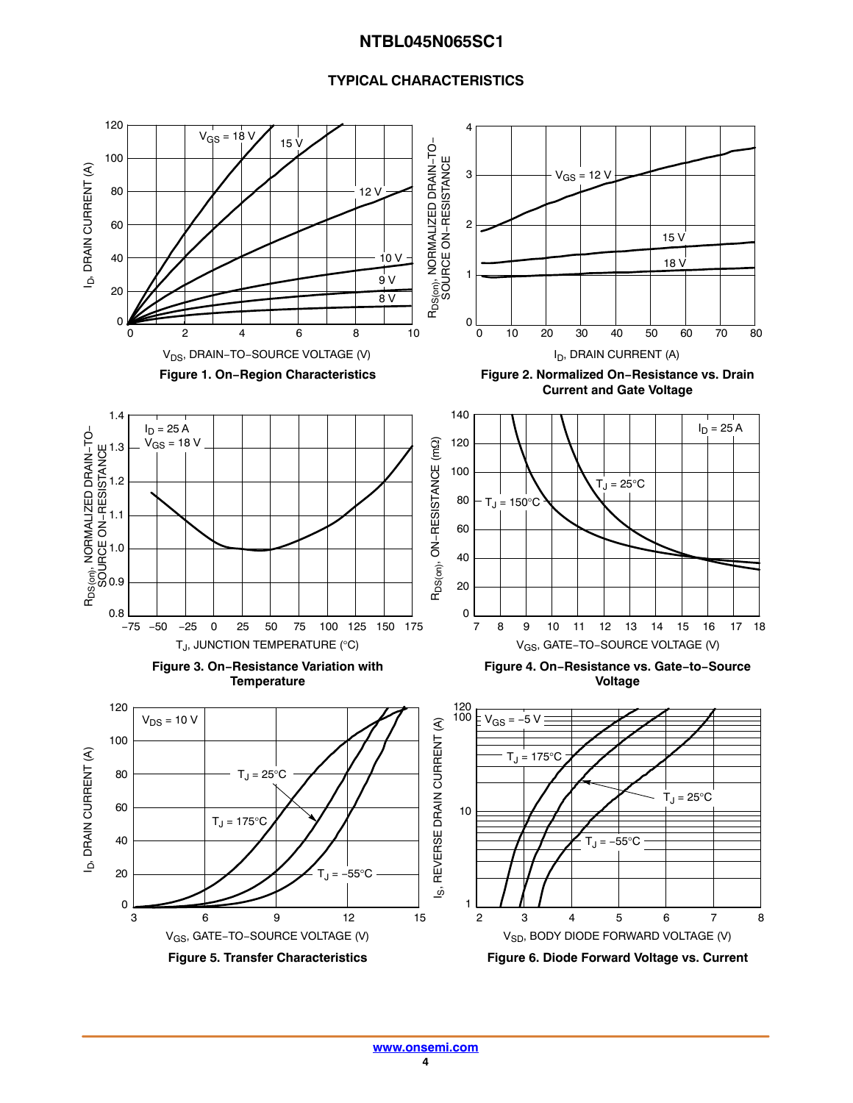#### **TYPICAL CHARACTERISTICS**

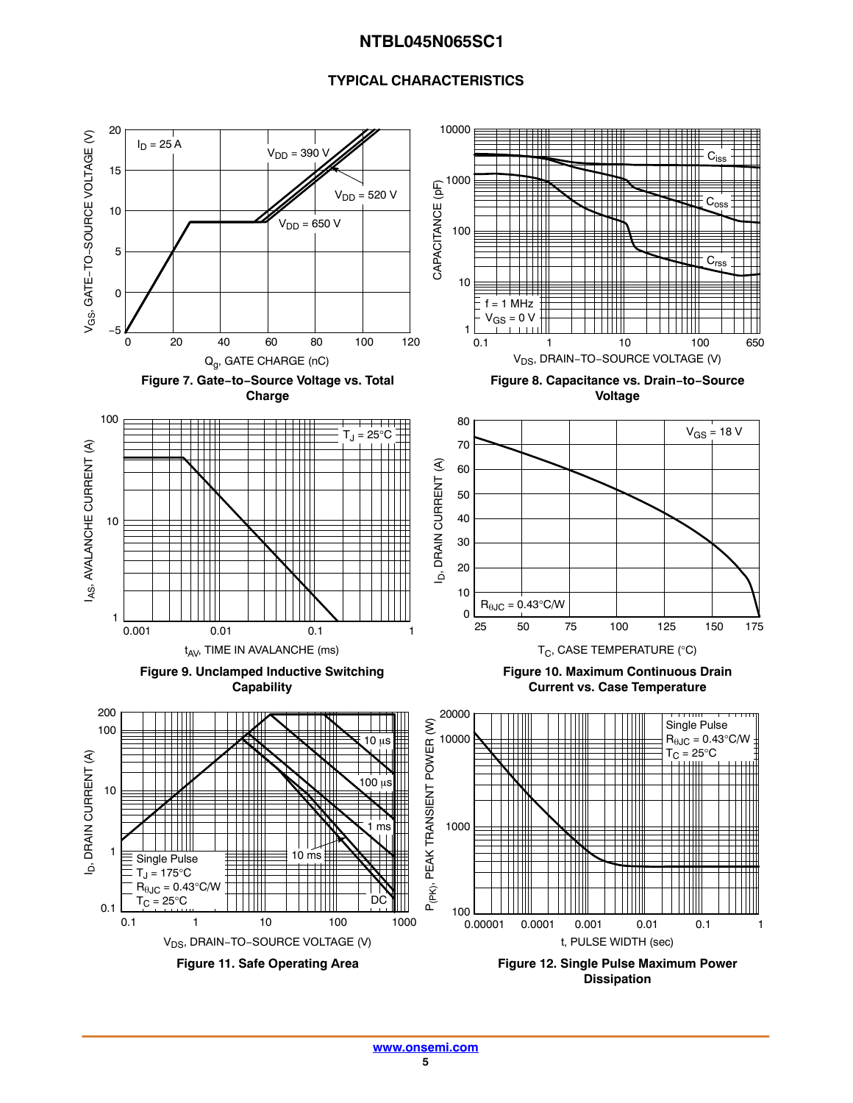#### **TYPICAL CHARACTERISTICS**

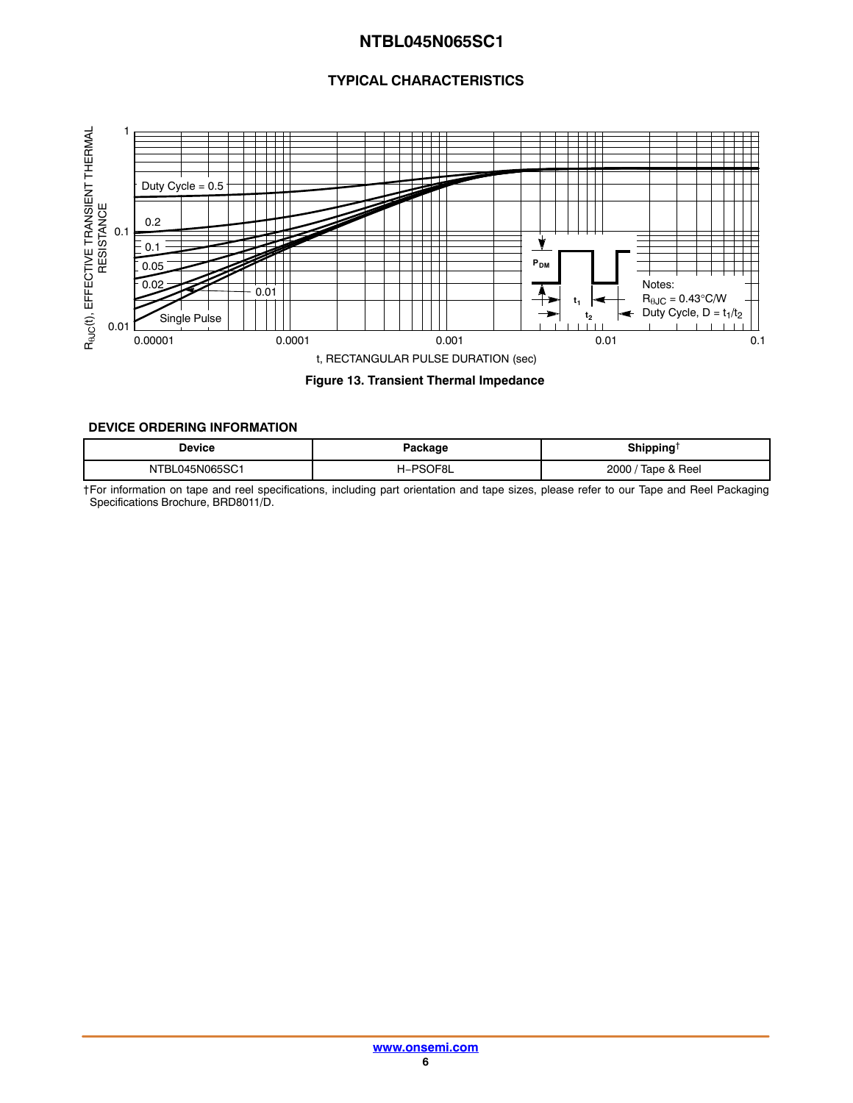#### **TYPICAL CHARACTERISTICS**

<span id="page-5-0"></span>

#### **DEVICE ORDERING INFORMATION**

| Device         | Package  | <b>Chipping</b><br>. . |
|----------------|----------|------------------------|
| NTBL045N065SC1 | H-PSOF8L | Tape & Reel<br>2000    |

†For information on tape and reel specifications, including part orientation and tape sizes, please refer to our Tape and Reel Packaging Specifications Brochure, BRD8011/D.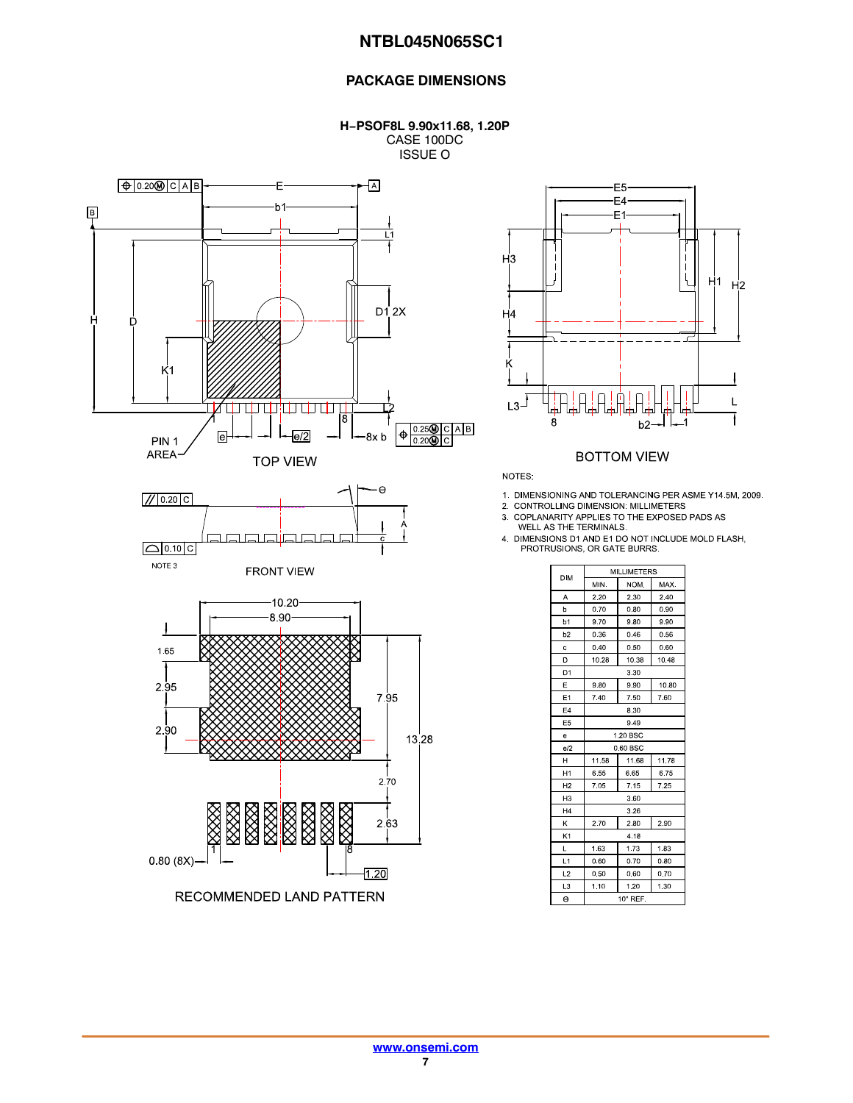#### **PACKAGE DIMENSIONS**

**H−PSOF8L 9.90x11.68, 1.20P** CASE 100DC ISSUE O





#### **BOTTOM VIEW**

NOTES.

- 
- 
- 1. DIMENSIONING AND TOLERANCING PER ASME Y14.5M, 2009.<br>2. CONTROLLING DIMENSION: MILLIMETERS<br>3. COPLANARITY APPLIES TO THE EXPOSED PADS AS<br>WELL AS THE TERMINALS.
- 4. DIMENSIONS D1 AND E1 DO NOT INCLUDE MOLD FLASH,<br>PINENSIONS D1 AND E1 DO NOT INCLUDE MOLD FLASH,<br>PROTRUSIONS, OR GATE BURRS.

| <b>DIM</b>     | <b>MILLIMETERS</b> |       |       |  |  |  |
|----------------|--------------------|-------|-------|--|--|--|
|                | MIN.               | NOM.  | MAX.  |  |  |  |
| A              | 2.20               | 2.30  | 2.40  |  |  |  |
| b              | 0.70               | 0.80  | 0.90  |  |  |  |
| b <sub>1</sub> | 9.70               | 9.80  | 9.90  |  |  |  |
| b2             | 0.36               | 0.46  | 0.56  |  |  |  |
| c              | 0.40               | 0.50  | 0.60  |  |  |  |
| D              | 10.28              | 10.38 | 10.48 |  |  |  |
| D <sub>1</sub> |                    | 3.30  |       |  |  |  |
| E              | 9.80               | 9.90  | 10.80 |  |  |  |
| E <sub>1</sub> | 7.40               | 7.50  | 7.60  |  |  |  |
| E4             | 8.30               |       |       |  |  |  |
| E <sub>5</sub> | 9.49               |       |       |  |  |  |
| e              | 1.20 BSC           |       |       |  |  |  |
| el2            | 0.60 BSC           |       |       |  |  |  |
| н              | 11.58              | 11.68 | 11.78 |  |  |  |
| H1             | 6.55               | 6.65  | 6.75  |  |  |  |
| H <sub>2</sub> | 7.05               | 7.15  | 7.25  |  |  |  |
| H <sub>3</sub> |                    | 3.60  |       |  |  |  |
| H <sub>4</sub> |                    | 3.26  |       |  |  |  |
| K              | 2.70               | 2.80  | 2.90  |  |  |  |
| K1             |                    | 4.18  |       |  |  |  |
| Г              | 1.63               | 1.73  | 183   |  |  |  |
| L1             | 0.60               | 0.70  | 0.80  |  |  |  |
| L2             | 0.50               | 0.60  | 0.70  |  |  |  |
| L3             | 1.10               | 1.20  | 1.30  |  |  |  |
| $\Theta$       | $10^\circ$ REF.    |       |       |  |  |  |